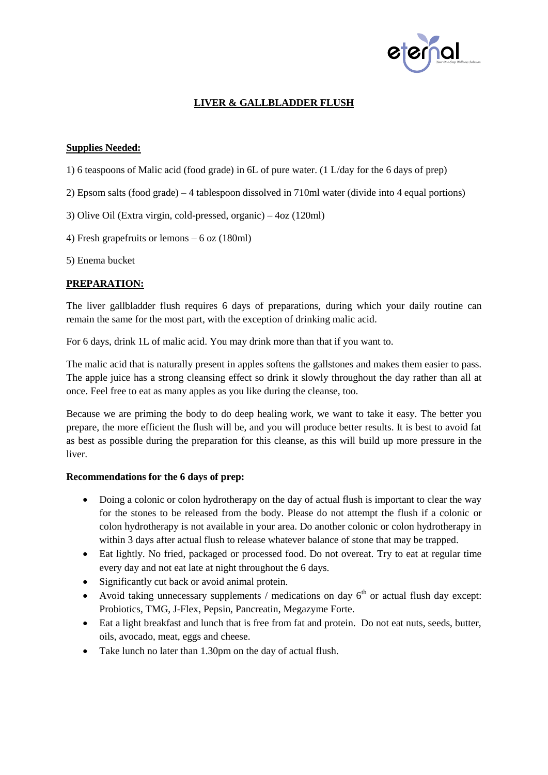

## **LIVER & GALLBLADDER FLUSH**

## **Supplies Needed:**

- 1) 6 teaspoons of Malic acid (food grade) in 6L of pure water. (1 L/day for the 6 days of prep)
- 2) Epsom salts (food grade) 4 tablespoon dissolved in 710ml water (divide into 4 equal portions)
- 3) Olive Oil (Extra virgin, cold-pressed, organic) 4oz (120ml)
- 4) Fresh grapefruits or lemons 6 oz (180ml)
- 5) Enema bucket

## **PREPARATION:**

The liver gallbladder flush requires 6 days of preparations, during which your daily routine can remain the same for the most part, with the exception of drinking malic acid.

For 6 days, drink 1L of malic acid. You may drink more than that if you want to.

The malic acid that is naturally present in apples softens the gallstones and makes them easier to pass. The apple juice has a strong cleansing effect so drink it slowly throughout the day rather than all at once. Feel free to eat as many apples as you like during the cleanse, too.

Because we are priming the body to do deep healing work, we want to take it easy. The better you prepare, the more efficient the flush will be, and you will produce better results. It is best to avoid fat as best as possible during the preparation for this cleanse, as this will build up more pressure in the liver.

#### **Recommendations for the 6 days of prep:**

- Doing a colonic or colon hydrotherapy on the day of actual flush is important to clear the way for the stones to be released from the body. Please do not attempt the flush if a colonic or colon hydrotherapy is not available in your area. Do another colonic or colon hydrotherapy in within 3 days after actual flush to release whatever balance of stone that may be trapped.
- Eat lightly. No fried, packaged or processed food. Do not overeat. Try to eat at regular time every day and not eat late at night throughout the 6 days.
- Significantly cut back or avoid animal protein.
- Avoid taking unnecessary supplements / medications on day  $6<sup>th</sup>$  or actual flush day except: Probiotics, TMG, J-Flex, Pepsin, Pancreatin, Megazyme Forte.
- Eat a light breakfast and lunch that is free from fat and protein. Do not eat nuts, seeds, butter, oils, avocado, meat, eggs and cheese.
- Take lunch no later than 1.30pm on the day of actual flush.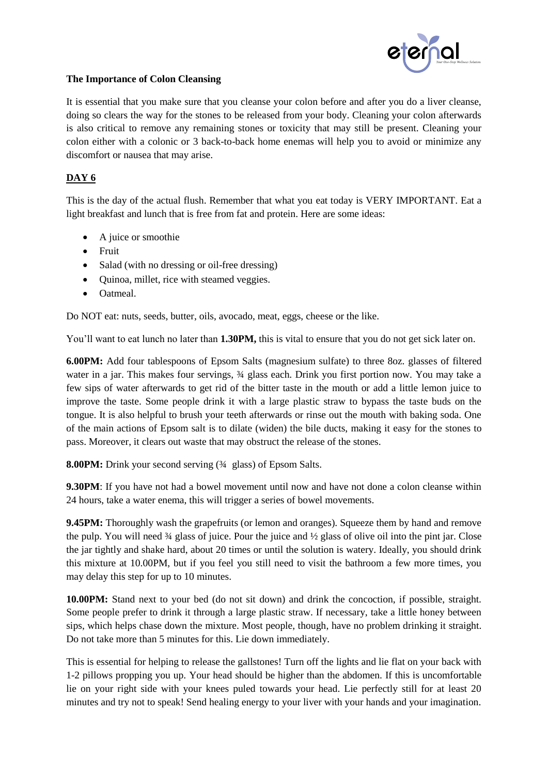

## **The Importance of Colon Cleansing**

It is essential that you make sure that you cleanse your colon before and after you do a liver cleanse, doing so clears the way for the stones to be released from your body. Cleaning your colon afterwards is also critical to remove any remaining stones or toxicity that may still be present. Cleaning your colon either with a colonic or 3 back-to-back home enemas will help you to avoid or minimize any discomfort or nausea that may arise.

# **DAY 6**

This is the day of the actual flush. Remember that what you eat today is VERY IMPORTANT. Eat a light breakfast and lunch that is free from fat and protein. Here are some ideas:

- A juice or smoothie
- Fruit
- Salad (with no dressing or oil-free dressing)
- Quinoa, millet, rice with steamed veggies.
- Oatmeal.

Do NOT eat: nuts, seeds, butter, oils, avocado, meat, eggs, cheese or the like.

You'll want to eat lunch no later than **1.30PM,** this is vital to ensure that you do not get sick later on.

**6.00PM:** Add four tablespoons of Epsom Salts (magnesium sulfate) to three 8oz. glasses of filtered water in a jar. This makes four servings, ¾ glass each. Drink you first portion now. You may take a few sips of water afterwards to get rid of the bitter taste in the mouth or add a little lemon juice to improve the taste. Some people drink it with a large plastic straw to bypass the taste buds on the tongue. It is also helpful to brush your teeth afterwards or rinse out the mouth with baking soda. One of the main actions of Epsom salt is to dilate (widen) the bile ducts, making it easy for the stones to pass. Moreover, it clears out waste that may obstruct the release of the stones.

**8.00PM:** Drink your second serving (¾ glass) of Epsom Salts.

**9.30PM**: If you have not had a bowel movement until now and have not done a colon cleanse within 24 hours, take a water enema, this will trigger a series of bowel movements.

**9.45PM:** Thoroughly wash the grapefruits (or lemon and oranges). Squeeze them by hand and remove the pulp. You will need ¾ glass of juice. Pour the juice and ½ glass of olive oil into the pint jar. Close the jar tightly and shake hard, about 20 times or until the solution is watery. Ideally, you should drink this mixture at 10.00PM, but if you feel you still need to visit the bathroom a few more times, you may delay this step for up to 10 minutes.

**10.00PM:** Stand next to your bed (do not sit down) and drink the concoction, if possible, straight. Some people prefer to drink it through a large plastic straw. If necessary, take a little honey between sips, which helps chase down the mixture. Most people, though, have no problem drinking it straight. Do not take more than 5 minutes for this. Lie down immediately.

This is essential for helping to release the gallstones! Turn off the lights and lie flat on your back with 1-2 pillows propping you up. Your head should be higher than the abdomen. If this is uncomfortable lie on your right side with your knees puled towards your head. Lie perfectly still for at least 20 minutes and try not to speak! Send healing energy to your liver with your hands and your imagination.